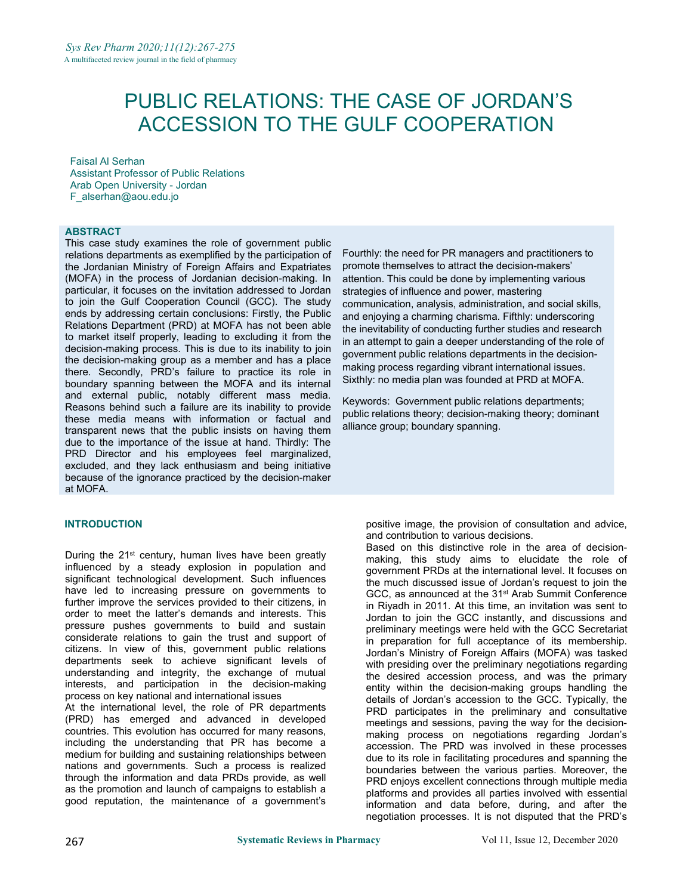# PUBLIC RELATIONS: THE CASE OF JORDAN'S ACCESSION TO THE GULF COOPERATION

Faisal Al Serhan Assistant Professor of Public Relations Arab Open University - Jordan [F\\_alserhan@aou.edu.jo](mailto:F_alserhan@aou.edu.jo)

#### **ABSTRACT**

This case study examines the role of government public relations departments as exemplified by the participation of the Jordanian Ministry of Foreign Affairs and Expatriates (MOFA) in the process of Jordanian decision-making. In particular, it focuses on the invitation addressed to Jordan to join the Gulf Cooperation Council (GCC). The study ends by addressing certain conclusions: Firstly, the Public Relations Department (PRD) at MOFA has not been able to market itself properly, leading to excluding it from the decision-making process. This is due to its inability to join the decision-making group as a member and has a place there. Secondly, PRD's failure to practice its role in boundary spanning between the MOFA and its internal and external public, notably different mass media. Reasons behind such a failure are its inability to provide these media means with information or factual and transparent news that the public insists on having them due to the importance of the issue at hand. Thirdly: The PRD Director and his employees feel marginalized, excluded, and they lack enthusiasm and being initiative because of the ignorance practiced by the decision-maker at MOFA.

#### **INTRODUCTION**

During the 21<sup>st</sup> century, human lives have been greatly  $\frac{1}{\text{m}_1}$  making this influenced by a steady explosion in population and significant technological development. Such influences have led to increasing pressure on governments to further improve the services provided to their citizens, in order to meet the latter's demands and interests. This pressure pushes governments to build and sustain considerate relations to gain the trust and support of citizens. In view of this, government public relations departments seek to achieve significant levels of understanding and integrity, the exchange of mutual interests, and participation in the decision-making process on key national and international issues At the international level, the role of PR departments (PRD) has emerged and advanced in developed countries. This evolution has occurred for many reasons,

including the understanding that PR has become a medium for building and sustaining relationships between nations and governments. Such a process is realized through the information and data PRDs provide, as well as the promotion and launch of campaigns to establish a good reputation, the maintenance of a government's

Fourthly: the need for PR managers and practitioners to promote themselves to attract the decision-makers' attention. This could be done by implementing various strategies of influence and power, mastering communication, analysis, administration, and social skills, and enjoying a charming charisma. Fifthly: underscoring the inevitability of conducting further studies and research in an attempt to gain a deeper understanding of the role of government public relations departments in the decision making process regarding vibrant international issues. Sixthly: no media plan was founded at PRD at MOFA.

Keywords: Government public relations departments; public relations theory; decision-making theory; dominant alliance group; boundary spanning.

positive image, the provision of consultation and advice, and contribution to various decisions.

Based on this distinctive role in the area of decision making, this study aims to elucidate the role of government PRDs at the international level. It focuses on the much discussed issue of Jordan's request to join the GCC, as announced at the 31<sup>st</sup> Arab Summit Conference in Riyadh in 2011. At this time, an invitation was sent to Jordan to join the GCC instantly, and discussions and preliminary meetings were held with the GCC Secretariat in preparation for full acceptance of its membership. Jordan's Ministry of Foreign Affairs (MOFA) was tasked with presiding over the preliminary negotiations regarding the desired accession process, and was the primary entity within the decision-making groups handling the details of Jordan's accession to the GCC. Typically, the PRD participates in the preliminary and consultative meetings and sessions, paving the way for the decision making process on negotiations regarding Jordan's accession. The PRD was involved in these processes due to its role in facilitating procedures and spanning the boundaries between the various parties. Moreover, the PRD enjoys excellent connections through multiple media platforms and provides all parties involved with essential information and data before, during, and after the negotiation processes. It is not disputed that the PRD's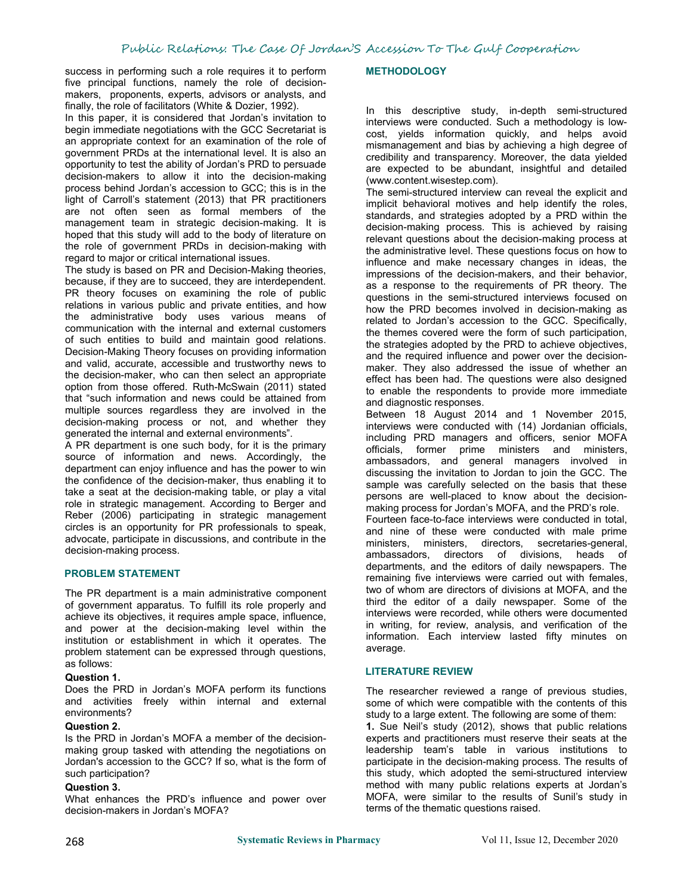success in performing such a role requires it to perform five principal functions, namely the role of decision makers, [proponents](https://context.reverso.net/translation/english-arabic/proponents), experts, advisors or analysts, and finally, the role of facilitators (White & Dozier, 1992).

In this paper, it is considered that Jordan's invitation to begin immediate negotiations with the GCC Secretariat is an appropriate context for an examination of the role of government PRDs at the international level. It is also an opportunity to test the ability of Jordan's PRD to persuade decision-makers to allow it into the decision-making process behind Jordan's accession to GCC; this is in the light of Carroll's statement (2013) that PR practitioners are not often seen as formal members of the management team in strategic decision-making. It is hoped that this study will add to the body of literature on the role of government PRDs in decision-making with regard to major or critical international issues.

The study is based on PR and Decision-Making theories, because, if they are to succeed, they are interdependent. PR theory focuses on examining the role of public relations in various public and private entities, and how the administrative body uses various means of communication with the internal and external customers of such entities to build and maintain good relations. Decision-Making Theory focuses on providing information and valid, accurate, accessible and trustworthy news to the decision-maker, who can then select an appropriate option from those offered. Ruth-McSwain (2011) stated that "such information and news could be attained from multiple sources regardless they are involved in the decision-making process or not, and whether they generated the internal and external environments".

A PR department is one such body, for it is the primary source of information and news. Accordingly, the department can enjoy influence and has the power to win the confidence of the decision-maker, thus enabling it to take a seat at the decision-making table, or play a vital role in strategic management. According to Berger and Reber (2006) participating in strategic management<br>Fourteen face-to-face interviews were conducted in total. circles is an opportunity for PR professionals to speak, advocate, participate in discussions, and contribute in the ministers. decision-making process.

#### **PROBLEM STATEMENT**

The PR department is a main administrative component of government apparatus. To fulfill its role properly and achieve its objectives, it requires ample space, influence, and power at the decision-making level within the institution or establishment in which it operates. The problem statement can be expressed through questions, as follows:

#### **Question 1.**

Does the PRD in Jordan's MOFA perform its functions and activities freely within internal and external environments?

#### **Question 2.**

Is the PRD in Jordan's MOFA a member of the decision making group tasked with attending the negotiations on Jordan's accession to the GCC? If so, what is the form of such participation?

#### **Question 3.**

What enhances the PRD's influence and power over decision-makers in Jordan's MOFA?

#### **METHODOLOGY**

In this descriptive study, in-depth semi-structured interviews were conducted. Such a methodology is low cost, yields information quickly, and helps avoid mismanagement and bias by achieving a high degree of credibility and transparency. Moreover, the data yielded are expected to be abundant, insightful and detailed (www.content.wisestep.com).

The semi-structured interview can reveal the explicit and implicit behavioral motives and help identify the roles, standards, and strategies adopted by a PRD within the decision-making process. This is achieved by raising relevant questions about the decision-making process at the administrative level. These questions focus on how to influence and make necessary changes in ideas, the impressions of the decision-makers, and their behavior, as a response to the requirements of PR theory. The questions in the semi-structured interviews focused on how the PRD becomes involved in decision-making as related to Jordan's accession to the GCC. Specifically, the themes covered were the form of such participation, the strategies adopted by the PRD to achieve objectives, and the required influence and power over the decision maker. They also addressed the issue of whether an effect has been had. The questions were also designed to enable the respondents to provide more immediate and diagnostic responses.

Between 18 August 2014 and 1 November 2015, interviews were conducted with (14) Jordanian officials, including PRD managers and officers, senior MOFA officials, former prime ministers and ministers, ambassadors, and general managers involved in discussing the invitation to Jordan to join the GCC. The sample was carefully selected on the basis that these persons are well-placed to know about the decision making process for Jordan's MOFA, and the PRD's role.

and nine of these were conducted with male prime ministers, directors, secretaries-general, ambassadors, directors of divisions, heads of departments, and the editors of daily newspapers. The remaining five interviews were carried out with females, two of whom are directors of divisions at MOFA, and the third the editor of a daily newspaper. Some of the interviews were recorded, while others were documented in writing, for review, analysis, and verification of the information. Each interview lasted fifty minutes on average.

#### **LITERATURE REVIEW**

The researcher reviewed a range of previous studies, some of which were compatible with the contents of this study to a large extent. The following are some of them:

**1.** Sue Neil's study (2012), shows that public relations experts and practitioners must reserve their seats at the leadership team's table in various institutions to participate in the decision-making process. The results of this study, which adopted the semi-structured interview method with many public relations experts at Jordan's MOFA, were similar to the results of Sunil's study in terms of the thematic questions raised.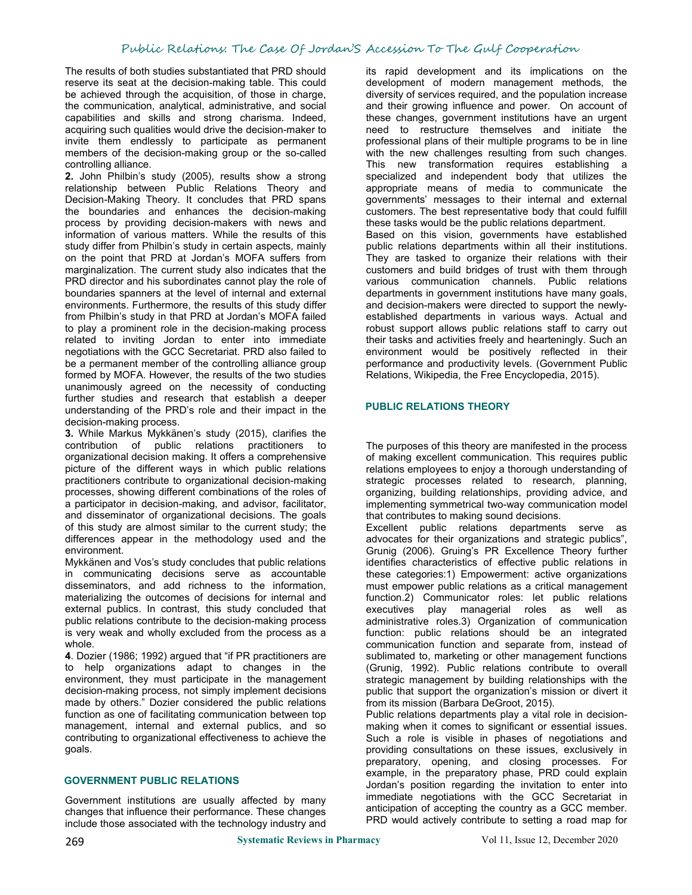# Public Relations: The Case Of Jordan'S Accession To The Gulf Cooperation

The results of both studies substantiated that PRD should reserve its seat at the decision-making table. This could be achieved through the acquisition, of those in charge, the communication, analytical, administrative, and social capabilities and skills and strong charisma. Indeed, acquiring such qualities would drive the decision-maker to invite them endlessly to participate as permanent members of the decision-making group or the so-called controlling alliance.

**2.** John Philbin's study (2005), results show a strong relationship between Public Relations Theory and Decision-Making Theory. It concludes that PRD spans the boundaries and enhances the decision-making process by providing decision-makers with news and information of various matters. While the results of this study differ from Philbin's study in certain aspects, mainly on the point that PRD at Jordan's MOFA suffers from marginalization. The current study also indicates that the PRD director and his subordinates cannot play the role of boundaries spanners at the level of internal and external environments. Furthermore, the results of this study differ from Philbin's study in that PRD at Jordan's MOFA failed to play a prominent role in the decision-making process related to inviting Jordan to enter into immediate negotiations with the GCC Secretariat. PRD also failed to be a permanent member of the controlling alliance group formed by MOFA. However, the results of the two studies unanimously agreed on the necessity of conducting further studies and research that establish a deeper understanding of the PRD's role and their impact in the decision-making process.

**3.** While Markus Mykkänen's study (2015), clarifies the contribution of public relations practitioners to organizational decision making. It offers a comprehensive picture of the different ways in which public relations practitioners contribute to organizational decision-making processes, showing different combinations of the roles of a participator in decision-making, and advisor, facilitator, and disseminator of organizational decisions. The goals of this study are almost similar to the current study; the differences appear in the methodology used and the environment.

Mykkänen and Vos's study concludes that public relations in communicating decisions serve as accountable disseminators, and add richness to the information, materializing the outcomes of decisions for internal and external publics. In contrast, this study concluded that public relations contribute to the decision-making process is very weak and wholly excluded from the process as a whole.

**4**. Dozier (1986; 1992) argued that "if PR practitioners are to help organizations adapt to changes in the environment, they must participate in the management decision-making process, not simply implement decisions made by others." Dozier considered the public relations function as one of facilitating communication between top management, internal and external publics, and so contributing to organizational effectiveness to achieve the goals.

### **GOVERNMENT PUBLIC RELATIONS**

Government institutions are usually affected by many changes that influence their performance. These changes include those associated with the technology industry and

its rapid development and its implications on the development of modern management methods, the diversity of services required, and the population increase and their growing influence and power. On account of these changes, government institutions have an urgent need to restructure themselves and initiate the professional plans of their multiple programs to be in line with the new challenges resulting from such changes. This new transformation requires establishing a specialized and independent body that utilizes the appropriate means of media to communicate the governments' messages to their internal and external customers. The best representative body that could fulfill these tasks would be the public relations department. Based on this vision, governments have established public relations departments within all their institutions. They are tasked to organize their relations with their customers and build bridges of trust with them through various communication channels. Public relations departments in government institutions have many goals, and decision-makers were directed to support the newly established departments in various ways. Actual and robust support allows public relations staff to carry out their tasks and activities freely and hearteningly. Such an environment would be positively reflected in their performance and productivity levels. (Government Public Relations, Wikipedia, the Free Encyclopedia, 2015).

#### **PUBLIC RELATIONS THEORY**

The purposes of this theory are manifested in the process of making excellent communication. This requires public relations employees to enjoy a thorough understanding of strategic processes related to research, planning, organizing, building relationships, providing advice, and implementing symmetrical two-way communication model that contributes to making sound decisions.

Excellent public relations departments serve as advocates for their organizations and strategic publics", Grunig (2006). Gruing's PR Excellence Theory further identifies characteristics of effective public relations in these categories:1) Empowerment: active organizations must empower public relations as a critical management function.2) Communicator roles: let public relations executives play managerial roles as well as administrative roles.3) Organization of communication function: public relations should be an integrated communication function and separate from, instead of sublimated to, marketing or other management functions (Grunig, 1992). Public relations contribute to overall strategic management by building relationships with the public that support the organization's mission or divert it from its mission (Barbara DeGroot, 2015).

Public relations departments play a vital role in decisionmaking when it comes to significant or essential issues. Such a role is visible in phases of negotiations and providing consultations on these issues, exclusively in preparatory, opening, and closing processes. For example, in the preparatory phase, PRD could explain Jordan's position regarding the invitation to enter into immediate negotiations with the GCC Secretariat in anticipation of accepting the country as a GCC member. PRD would actively contribute to setting a road map for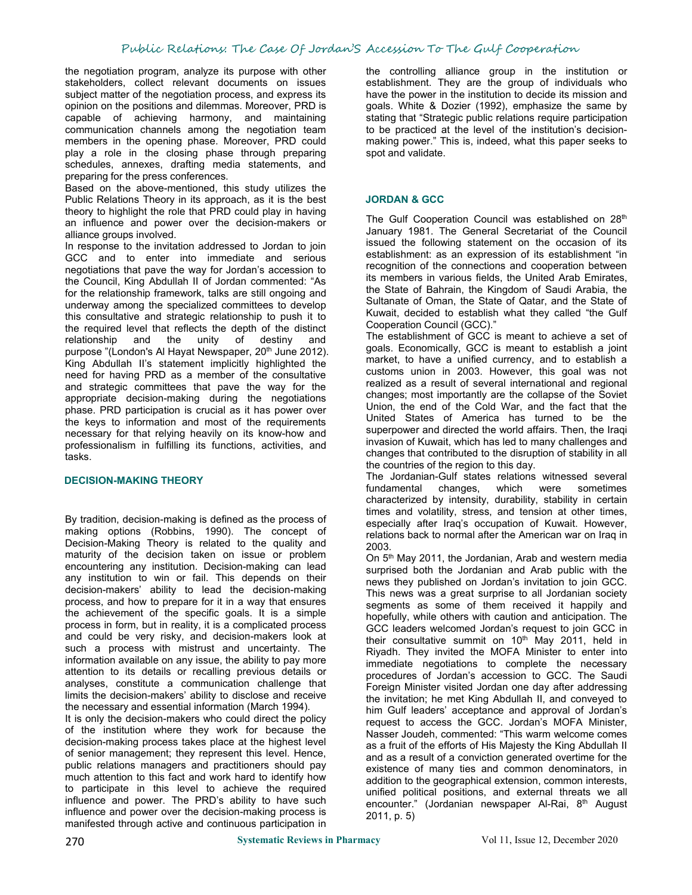the negotiation program, analyze its purpose with other stakeholders, collect relevant documents on issues subject matter of the negotiation process, and express its opinion on the positions and dilemmas. Moreover, PRD is capable of achieving harmony, and maintaining communication channels among the negotiation team members in the opening phase. Moreover, PRD could play a role in the closing phase through preparing schedules, annexes, drafting media statements, and preparing for the press conferences.

Based on the above-mentioned, this study utilizes the Public Relations Theory in its approach, as it is the best theory to highlight the role that PRD could play in having an influence and power over the decision-makers or alliance groups involved.

In response to the invitation addressed to Jordan to join GCC and to enter into immediate and serious negotiations that pave the way for Jordan's accession to the Council, King Abdullah II of Jordan commented: "As for the relationship framework, talks are still ongoing and underway among the specialized committees to develop this consultative and strategic relationship to push it to the required level that reflects the depth of the distinct relationship and the unity of destiny and purpose "(London's Al Hayat Newspaper, 20<sup>th</sup> June 2012). <sup>goals.</sup>..<sup>L</sup> King Abdullah II's statement implicitly highlighted the need for having PRD as a member of the consultative and strategic committees that pave the way for the appropriate decision-making during the negotiations phase. PRD participation is crucial as it has power over the keys to information and most of the requirements necessary for that relying heavily on its know-how and professionalism in fulfilling its functions, activities, and tasks.

# **DECISION-MAKING THEORY**

By tradition, decision-making is defined as the process of making options (Robbins, 1990). The concept of Decision-Making Theory is related to the quality and maturity of the decision taken on issue or problem encountering any institution. Decision-making can lead any institution to win or fail. This depends on their decision-makers' ability to lead the decision-making process, and how to prepare for it in a way that ensures the achievement of the specific goals. It is a simple process in form, but in reality, it is a complicated process and could be very risky, and decision-makers look at such a process with mistrust and uncertainty. The information available on any issue, the ability to pay more attention to its details or recalling previous details or analyses, constitute a communication challenge that limits the decision-makers' ability to disclose and receive the necessary and essential information (March 1994).

It is only the decision-makers who could direct the policy of the institution where they work for because the decision-making process takes place at the highest level of senior management; they represent this level. Hence, public relations managers and practitioners should pay much attention to this fact and work hard to identify how to participate in this level to achieve the required influence and power. The PRD's ability to have such influence and power over the decision-making process is manifested through active and continuous participation in

the controlling alliance group in the institution or establishment. They are the group of individuals who have the power in the institution to decide its mission and goals. White & Dozier (1992), emphasize the same by stating that "Strategic public relations require participation to be practiced at the level of the institution's decision making power." This is, indeed, what this paper seeks to spot and validate.

#### **JORDAN & GCC**

The Gulf Cooperation Council was established on 28<sup>th</sup> th January 1981. The General Secretariat of the Council issued the following statement on the occasion of its establishment: as an expression of its establishment "in recognition of the connections and cooperation between its members in various fields, the United Arab Emirates, the State of Bahrain, the Kingdom of Saudi Arabia, the Sultanate of Oman, the State of Qatar, and the State of Kuwait, decided to establish what they called "the Gulf Cooperation Council (GCC)."

The establishment of GCC is meant to achieve a set of goals. Economically, GCC is meant to establish a joint market, to have a unified currency, and to establish a customs union in 2003. However, this goal was not realized as a result of several international and regional changes; most importantly are the collapse of the Soviet Union, the end of the Cold War, and the fact that the United States of America has turned to be the superpower and directed the world affairs. Then, the Iraqi invasion of Kuwait, which has led to many challenges and changes that contributed to the disruption of stability in all the countries of the region to this day.

The Jordanian-Gulf states relations witnessed several fundamental changes, which were sometimes characterized by intensity, durability, stability in certain times and volatility, stress, and tension at other times, especially after Iraq's occupation of Kuwait. However, relations back to normal after the American war on Iraq in 2003.

On 5<sup>th</sup> May 2011, the Jordanian, Arab and western media surprised both the Jordanian and Arab public with the news they published on Jordan's invitation to join GCC. This news was a great surprise to all Jordanian society segments as some of them received it happily and hopefully, while others with caution and anticipation. The GCC leaders welcomed Jordan's request to join GCC in their consultative summit on 10<sup>th</sup> May 2011, held in Riyadh. They invited the MOFA Minister to enter into immediate negotiations to complete the necessary procedures of Jordan's accession to GCC. The Saudi Foreign Minister visited Jordan one day after addressing the invitation; he met King Abdullah II, and conveyed to him Gulf leaders' acceptance and approval of Jordan's request to access the GCC. Jordan's MOFA Minister, Nasser Joudeh, commented: "This warm welcome comes as a fruit of the efforts of His Majesty the King Abdullah II and as a result of a conviction generated overtime for the existence of many ties and common denominators, in addition to the geographical extension, common interests, unified political positions, and external threats we all encounter." (Jordanian newspaper Al-Rai, 8<sup>th</sup> August 2011, p. 5)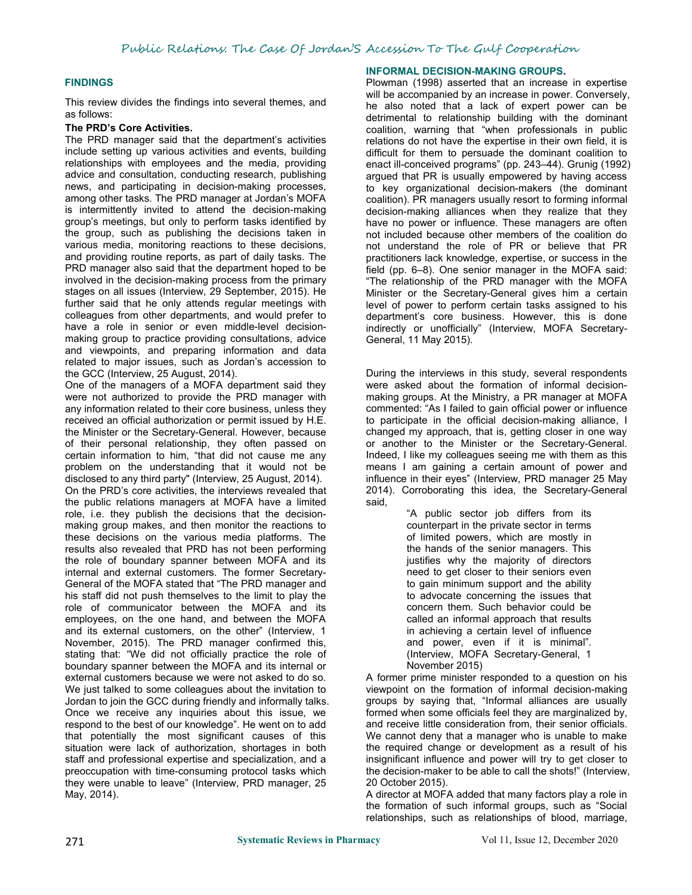#### **FINDINGS**

This review divides the findings into several themes, and as follows:

#### **The PRD's Core Activities.**

The PRD manager said that the department's activities include setting up various activities and events, building relationships with employees and the media, providing advice and consultation, conducting research, publishing news, and participating in decision-making processes, among other tasks. The PRD manager at Jordan's MOFA is intermittently invited to attend the decision-making group's meetings, but only to perform tasks identified by the group, such as publishing the decisions taken in various media, monitoring reactions to these decisions, and providing routine reports, as part of daily tasks. The PRD manager also said that the department hoped to be involved in the decision-making process from the primary stages on all issues (Interview, 29 September, 2015). He further said that he only attends regular meetings with colleagues from other departments, and would prefer to have a role in senior or even middle-level decision making group to practice providing consultations, advice General, 11 May 2015). and viewpoints, and preparing information and data related to major issues, such as Jordan's accession to the GCC (Interview, 25 August, 2014).

One of the managers of a MOFA department said they were not authorized to provide the PRD manager with any information related to their core business, unless they received an official authorization or permit issued by H.E. the Minister or the Secretary-General. However, because of their personal relationship, they often passed on certain information to him, "that did not cause me any problem on the understanding that it would not be disclosed to any third party" (Interview, 25 August, 2014). On the PRD's core activities, the interviews revealed that the public relations managers at MOFA have a limited role, i.e. they publish the decisions that the decision making group makes, and then monitor the reactions to these decisions on the various media platforms. The results also revealed that PRD has not been performing the role of boundary spanner between MOFA and its internal and external customers. The former Secretary- General of the MOFA stated that "The PRD manager and his staff did not push themselves to the limit to play the role of communicator between the MOFA and its employees, on the one hand, and between the MOFA and its external customers, on the other" (Interview, 1 November, 2015). The PRD manager confirmed this, stating that: "We did not officially practice the role of boundary spanner between the MOFA and its internal or external customers because we were not asked to do so. We just talked to some colleagues about the invitation to Jordan to join the GCC during friendly and informally talks. Once we receive any inquiries about this issue, we respond to the best of our knowledge". He went on to add that potentially the most significant causes of this situation were lack of authorization, shortages in both staff and professional expertise and specialization, and a preoccupation with time-consuming protocol tasks which they were unable to leave" (Interview, PRD manager, 25 May, 2014).

#### **INFORMAL DECISION-MAKING GROUPS.**

Plowman (1998) asserted that an increase in expertise will be accompanied by an increase in power. Conversely, he also noted that a lack of expert power can be detrimental to relationship building with the dominant coalition, warning that "when professionals in public relations do not have the expertise in their own field, it is difficult for them to persuade the dominant coalition to enact ill-conceived programs" (pp. 243–44). Grunig (1992) argued that PR is usually empowered by having access to key organizational decision-makers (the dominant coalition). PR managers usually resort to forming informal decision-making alliances when they realize that they have no power or influence. These managers are often not included because other members of the coalition do not understand the role of PR or believe that PR practitioners lack knowledge, expertise, or success in the field (pp. 6–8). One senior manager in the MOFA said: "The relationship of the PRD manager with the MOFA Minister or the Secretary-General gives him a certain level of power to perform certain tasks assigned to his department's core business. However, this is done indirectly or unofficially" (Interview, MOFA Secretary-

During the interviews in this study, several respondents were asked about the formation of informal decision making groups. At the Ministry, a PR manager at MOFA commented: "As I failed to gain official power or influence to participate in the official decision-making alliance, I changed my approach, that is, getting closer in one way or another to the Minister or the Secretary-General. Indeed, I like my colleagues seeing me with them as this means I am gaining a certain amount of power and influence in their eyes" (Interview, PRD manager 25 May 2014). Corroborating this idea, the Secretary-General said,

> "A public sector job differs from its counterpart in the private sector in terms of limited powers, which are mostly in the hands of the senior managers. This justifies why the majority of directors need to get closer to their seniors even to gain minimum support and the ability to advocate concerning the issues that concern them. Such behavior could be called an informal approach that results in achieving a certain level of influence and power, even if it is minimal". (Interview, MOFA Secretary-General, 1 November 2015)

A former prime minister responded to a question on his viewpoint on the formation of informal decision-making groups by saying that, "Informal alliances are usually formed when some officials feel they are marginalized by, and receive little consideration from, their senior officials. We cannot deny that a manager who is unable to make the required change or development as a result of his insignificant influence and power will try to get closer to the decision-maker to be able to call the shots!" (Interview, 20 October 2015).

A director at MOFA added that many factors play a role in the formation of such informal groups, such as "Social relationships, such as relationships of blood, marriage,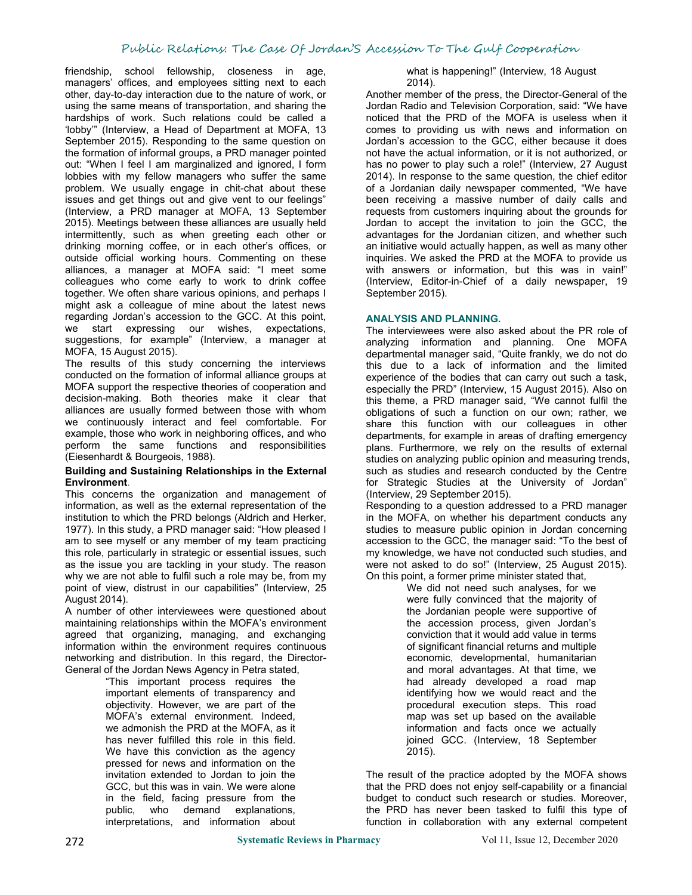friendship, school fellowship, closeness in age, managers' offices, and employees sitting next to each other, day-to-day interaction due to the nature of work, or using the same means of transportation, and sharing the hardships of work. Such relations could be called a 'lobby'" (Interview, a Head of Department at MOFA, 13 September 2015). Responding to the same question on the formation of informal groups, a PRD manager pointed out: "When I feel I am marginalized and ignored, I form lobbies with my fellow managers who suffer the same problem. We usually engage in chit-chat about these issues and get things out and give vent to our feelings" (Interview, a PRD manager at MOFA, 13 September 2015). Meetings between these alliances are usually held intermittently, such as when greeting each other or drinking morning coffee, or in each other's offices, or outside official working hours. Commenting on these alliances, a manager at MOFA said: "I meet some colleagues who come early to work to drink coffee together. We often share various opinions, and perhaps I might ask a colleague of mine about the latest news regarding Jordan's accession to the GCC. At this point, we start expressing our wishes, expectations, suggestions, for example" (Interview, a manager at MOFA, 15 August 2015).

The results of this study concerning the interviews conducted on the formation of informal alliance groups at MOFA support the respective theories of cooperation and decision-making. Both theories make it clear that alliances are usually formed between those with whom we continuously interact and feel comfortable. For example, those who work in neighboring offices, and who perform the same functions and responsibilities (Eiesenhardt & Bourgeois, 1988).

#### **Building and Sustaining Relationships in the External Environment**.

This concerns the organization and management of information, as well as the external representation of the institution to which the PRD belongs (Aldrich and Herker, 1977). In this study, a PRD manager said: "How pleased I am to see myself or any member of my team practicing this role, particularly in strategic or essential issues, such as the issue you are tackling in your study. The reason why we are not able to fulfil such a role may be, from my point of view, distrust in our capabilities" (Interview, 25 August 2014).

A number of other interviewees were questioned about maintaining relationships within the MOFA's environment agreed that organizing, managing, and exchanging information within the environment requires continuous networking and distribution. In this regard, the Director- General of the Jordan News Agency in Petra stated,

"This important process requires the important elements of transparency and objectivity. However, we are part of the MOFA's external environment. Indeed, we admonish the PRD at the MOFA, as it has never fulfilled this role in this field. We have this conviction as the agency pressed for news and information on the invitation extended to Jordan to join the GCC, but this was in vain. We were alone in the field, facing pressure from the public, who demand explanations, interpretations, and information about what is happening!" (Interview, 18 August 2014).

Another member of the press, the Director-General of the Jordan Radio and Television Corporation, said: "We have noticed that the PRD of the MOFA is useless when it comes to providing us with news and information on Jordan's accession to the GCC, either because it does not have the actual information, or it is not authorized, or has no power to play such a role!" (Interview, 27 August) 2014). In response to the same question, the chief editor of a Jordanian daily newspaper commented, "We have been receiving a massive number of daily calls and requests from customers inquiring about the grounds for Jordan to accept the invitation to join the GCC, the advantages for the Jordanian citizen, and whether such an initiative would actually happen, as well as many other inquiries. We asked the PRD at the MOFA to provide us with answers or information, but this was in vain!" (Interview, Editor-in-Chief of a daily newspaper, 19 September 2015).

# **ANALYSIS AND PLANNING.**

The interviewees were also asked about the PR role of analyzing information and planning. One MOFA departmental manager said, "Quite frankly, we do not do this due to a lack of information and the limited experience of the bodies that can carry out such a task, especially the PRD" (Interview, 15 August 2015). Also on this theme, a PRD manager said, "We cannot fulfil the obligations of such a function on our own; rather, we share this function with our colleagues in other departments, for example in areas of drafting emergency plans. Furthermore, we rely on the results of external studies on analyzing public opinion and measuring trends, such as studies and research conducted by the Centre for Strategic Studies at the University of Jordan" (Interview, 29 September 2015).

Responding to a question addressed to a PRD manager in the MOFA, on whether his department conducts any studies to measure public opinion in Jordan concerning accession to the GCC, the manager said: "To the best of my knowledge, we have not conducted such studies, and were not asked to do so!" (Interview, 25 August 2015). On this point, a former prime minister stated that,

> We did not need such analyses, for we were fully convinced that the majority of the Jordanian people were supportive of the accession process, given Jordan's conviction that it would add value in terms of significant financial returns and multiple economic, developmental, humanitarian and moral advantages. At that time, we had already developed a road map identifying how we would react and the procedural execution steps. This road map was set up based on the available information and facts once we actually joined GCC. (Interview, 18 September 2015).

The result of the practice adopted by the MOFA shows that the PRD does not enjoy self-capability or a financial budget to conduct such research or studies. Moreover, the PRD has never been tasked to fulfil this type of function in collaboration with any external competent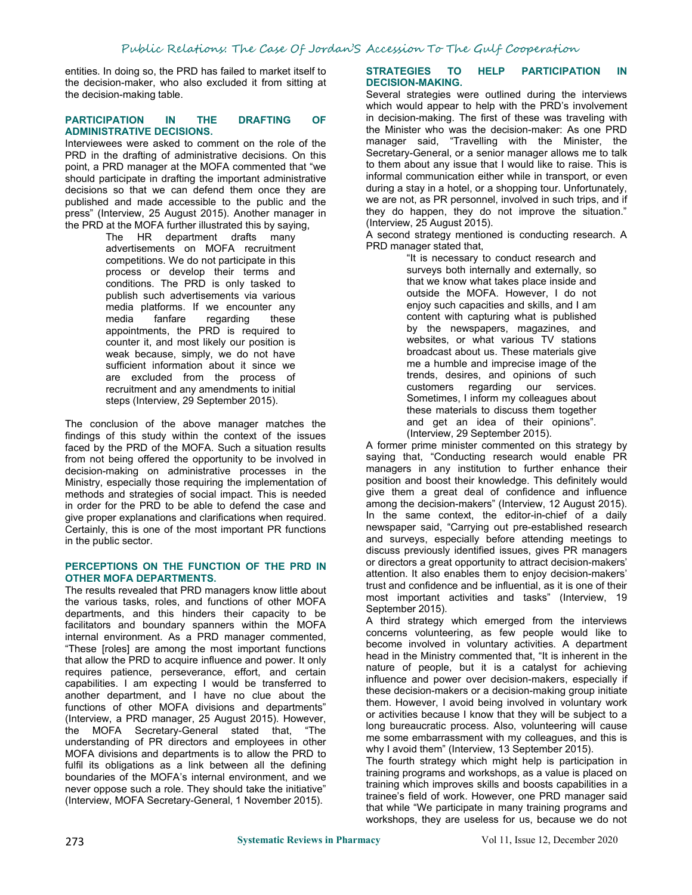entities. In doing so, the PRD has failed to market itself to the decision-maker, who also excluded it from sitting at the decision-making table.

#### **PARTICIPATION IN THE DRAFTING OF ADMINISTRATIVE DECISIONS.**

Interviewees were asked to comment on the role of the PRD in the drafting of administrative decisions. On this point, a PRD manager at the MOFA commented that "we should participate in drafting the important administrative decisions so that we can defend them once they are published and made accessible to the public and the press" (Interview, 25 August 2015). Another manager in the PRD at the MOFA further illustrated this by saying,

The HR department drafts many advertisements on MOFA recruitment competitions. We do not participate in this process or develop their terms and conditions. The PRD is only tasked to publish such advertisements via various media platforms. If we encounter any media fanfare regarding these appointments, the PRD is required to counter it, and most likely our position is weak because, simply, we do not have sufficient information about it since we are excluded from the process of recruitment and any amendments to initial steps (Interview, 29 September 2015).

The conclusion of the above manager matches the findings of this study within the context of the issues faced by the PRD of the MOFA. Such a situation results from not being offered the opportunity to be involved in decision-making on administrative processes in the Ministry, especially those requiring the implementation of methods and strategies of social impact. This is needed in order for the PRD to be able to defend the case and give proper explanations and clarifications when required. Certainly, this is one of the most important PR functions in the public sector.

#### **PERCEPTIONS ON THE FUNCTION OF THE PRD IN OTHER MOFA DEPARTMENTS.**

The results revealed that PRD managers know little about the various tasks, roles, and functions of other MOFA departments, and this hinders their capacity to be facilitators and boundary spanners within the MOFA internal environment. As a PRD manager commented, "These [roles] are among the most important functions that allow the PRD to acquire influence and power. It only requires patience, perseverance, effort, and certain capabilities. I am expecting I would be transferred to another department, and I have no clue about the functions of other MOFA divisions and departments" (Interview, a PRD manager, 25 August 2015). However, the MOFA Secretary-General stated that, "The understanding of PR directors and employees in other MOFA divisions and departments is to allow the PRD to fulfil its obligations as a link between all the defining boundaries of the MOFA's internal environment, and we never oppose such a role. They should take the initiative" (Interview, MOFA Secretary-General, 1 November 2015).

#### **STRATEGIES TO HELP PARTICIPATION IN DECISION-MAKING.**

Several strategies were outlined during the interviews which would appear to help with the PRD's involvement in decision-making. The first of these was traveling with the Minister who was the decision-maker: As one PRD manager said, "Travelling with the Minister, the Secretary-General, or a senior manager allows me to talk to them about any issue that I would like to raise. This is informal communication either while in transport, or even during a stay in a hotel, or a shopping tour. Unfortunately, we are not, as PR personnel, involved in such trips, and if they do happen, they do not improve the situation." (Interview, 25 August 2015).

A second strategy mentioned is conducting research. A PRD manager stated that,

> "It is necessary to conduct research and surveys both internally and externally, so that we know what takes place inside and outside the MOFA. However, I do not enjoy such capacities and skills, and I am content with capturing what is published by the newspapers, magazines, and websites, or what various TV stations broadcast about us. These materials give me a humble and imprecise image of the trends, desires, and opinions of such customers regarding our services. Sometimes, I inform my colleagues about these materials to discuss them together and get an idea of their opinions". (Interview, 29 September 2015).

A former prime minister commented on this strategy by saying that, "Conducting research would enable PR managers in any institution to further enhance their position and boost their knowledge. This definitely would give them a great deal of confidence and influence among the decision-makers" (Interview, 12 August 2015). In the same context, the editor-in-chief of a daily newspaper said, "Carrying out pre-established research and surveys, especially before attending meetings to discuss previously identified issues, gives PR managers or directors a great opportunity to attract decision-makers' attention. It also enables them to enjoy decision-makers' trust and confidence and be influential, as it is one of their most important activities and tasks" (Interview, 19 September 2015).

A third strategy which emerged from the interviews concerns volunteering, as few people would like to become involved in voluntary activities. A department head in the Ministry commented that, "It is inherent in the nature of people, but it is a catalyst for achieving influence and power over decision-makers, especially if these decision-makers or a decision-making group initiate them. However, I avoid being involved in voluntary work or activities because I know that they will be subject to a long bureaucratic process. Also, volunteering will cause me some embarrassment with my colleagues, and this is why I avoid them" (Interview, 13 September 2015).

The fourth strategy which might help is participation in training programs and workshops, as a value is placed on training which improves skills and boosts capabilities in a trainee's field of work. However, one PRD manager said that while "We participate in many training programs and workshops, they are useless for us, because we do not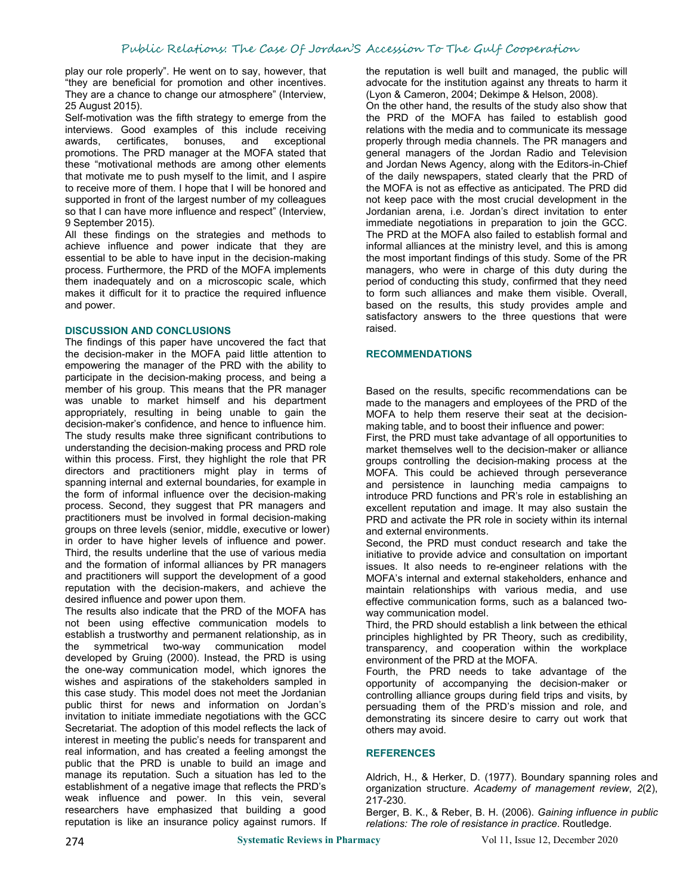play our role properly". He went on to say, however, that "they are beneficial for promotion and other incentives. They are a chance to change our atmosphere" (Interview, 25 August 2015).

Self-motivation was the fifth strategy to emerge from the interviews. Good examples of this include receiving awards, certificates, bonuses, and exceptional promotions. The PRD manager at the MOFA stated that these "motivational methods are among other elements that motivate me to push myself to the limit, and I aspire to receive more of them. I hope that I will be honored and supported in front of the largest number of my colleagues so that I can have more influence and respect" (Interview, 9 September 2015).

All these findings on the strategies and methods to achieve influence and power indicate that they are essential to be able to have input in the decision-making process. Furthermore, the PRD of the MOFA implements them inadequately and on a microscopic scale, which makes it difficult for it to practice the required influence and power.

#### **DISCUSSION AND CONCLUSIONS**

The findings of this paper have uncovered the fact that the decision-maker in the MOFA paid little attention to empowering the manager of the PRD with the ability to participate in the decision-making process, and being a member of his group. This means that the PR manager was unable to market himself and his department appropriately, resulting in being unable to gain the decision-maker's confidence, and hence to influence him. The study results make three significant contributions to understanding the decision-making process and PRD role within this process. First, they highlight the role that PR directors and practitioners might play in terms of spanning internal and external boundaries, for example in the form of informal influence over the decision-making process. Second, they suggest that PR managers and practitioners must be involved in formal decision-making groups on three levels (senior, middle, executive or lower) in order to have higher levels of influence and power. Third, the results underline that the use of various media and the formation of informal alliances by PR managers and practitioners will support the development of a good reputation with the decision-makers, and achieve the desired influence and power upon them.

The results also indicate that the PRD of the MOFA has not been using effective communication models to establish a trustworthy and permanent relationship, as in the symmetrical two-way communication model developed by Gruing (2000). Instead, the PRD is using the one-way communication model, which ignores the wishes and aspirations of the stakeholders sampled in this case study. This model does not meet the Jordanian public thirst for news and information on Jordan's invitation to initiate immediate negotiations with the GCC Secretariat. The adoption of this model reflects the lack of interest in meeting the public's needs for transparent and real information, and has created a feeling amongst the public that the PRD is unable to build an image and manage its reputation. Such a situation has led to the establishment of a negative image that reflects the PRD's weak influence and power. In this vein, several researchers have emphasized that building a good reputation is like an insurance policy against rumors. If the reputation is well built and managed, the public will advocate for the institution against any threats to harm it (Lyon & Cameron, 2004; Dekimpe & Helson, 2008).

On the other hand, the results of the study also show that the PRD of the MOFA has failed to establish good relations with the media and to communicate its message properly through media channels. The PR managers and general managers of the Jordan Radio and Television and Jordan News Agency, along with the Editors-in-Chief of the daily newspapers, stated clearly that the PRD of the MOFA is not as effective as anticipated. The PRD did not keep pace with the most crucial development in the Jordanian arena, i.e. Jordan's direct invitation to enter immediate negotiations in preparation to join the GCC. The PRD at the MOFA also failed to establish formal and informal alliances at the ministry level, and this is among the most important findings of this study. Some of the PR managers, who were in charge of this duty during the period of conducting this study, confirmed that they need to form such alliances and make them visible. Overall, based on the results, this study provides ample and satisfactory answers to the three questions that were raised.

#### **RECOMMENDATIONS**

Based on the results, specific recommendations can be made to the managers and employees of the PRD of the MOFA to help them reserve their seat at the decision making table, and to boost their influence and power:

First, the PRD must take advantage of all opportunities to market themselves well to the decision-maker or alliance groups controlling the decision-making process at the MOFA. This could be achieved through perseverance and persistence in launching media campaigns to introduce PRD functions and PR's role in establishing an excellent reputation and image. It may also sustain the PRD and activate the PR role in society within its internal and external environments.

Second, the PRD must conduct research and take the initiative to provide advice and consultation on important issues. It also needs to re-engineer relations with the MOFA's internal and external stakeholders, enhance and maintain relationships with various media, and use effective communication forms, such as a balanced two way communication model.

Third, the PRD should establish a link between the ethical principles highlighted by PR Theory, such as credibility, transparency, and cooperation within the workplace environment of the PRD at the MOFA.

Fourth, the PRD needs to take advantage of the opportunity of accompanying the decision-maker or controlling alliance groups during field trips and visits, by persuading them of the PRD's mission and role, and demonstrating its sincere desire to carry out work that others may avoid.

# **REFERENCES**

Aldrich, H., & Herker, D. (1977). Boundary spanning roles and organization structure. *Academy of management review*, *2*(2), 217-230.

Berger, B. K., & Reber, B. H. (2006). *Gaining influence in public relations: The role of resistance in practice*. Routledge.